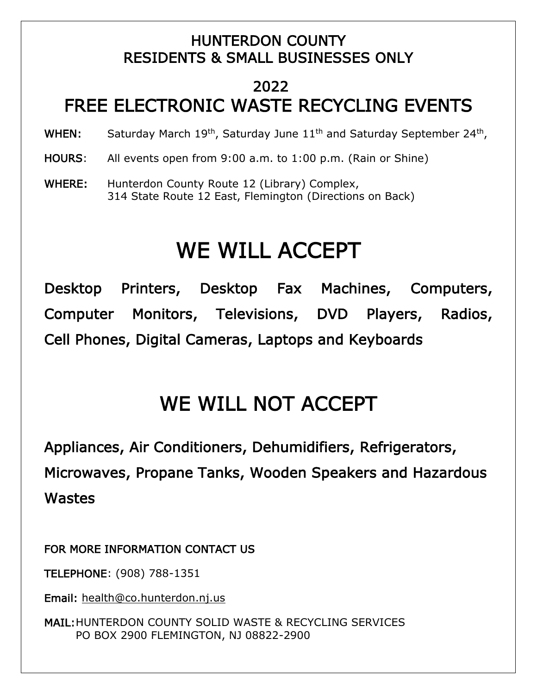### HUNTERDON COUNTY RESIDENTS & SMALL BUSINESSES ONLY

## 2022 FREE ELECTRONIC WASTE RECYCLING EVENTS

WHEN: Saturday March 19<sup>th</sup>, Saturday June 11<sup>th</sup> and Saturday September 24<sup>th</sup>,

- HOURS: All events open from 9:00 a.m. to 1:00 p.m. (Rain or Shine)
- WHERE: Hunterdon County Route 12 (Library) Complex, 314 State Route 12 East, Flemington (Directions on Back)

# WE WILL ACCEPT

Desktop Printers, Desktop Fax Machines, Computers, Computer Monitors, Televisions, DVD Players, Radios, Cell Phones, Digital Cameras, Laptops and Keyboards

## WE WILL NOT ACCEPT

Appliances, Air Conditioners, Dehumidifiers, Refrigerators, Microwaves, Propane Tanks, Wooden Speakers and Hazardous Wastes

FOR MORE INFORMATION CONTACT US

TELEPHONE: (908) 788-1351

Email: [health@co.hunterdon.nj.us](mailto:health@co.hunterdon.nj.us)

MAIL: HUNTERDON COUNTY SOLID WASTE & RECYCLING SERVICES PO BOX 2900 FLEMINGTON, NJ 08822-2900